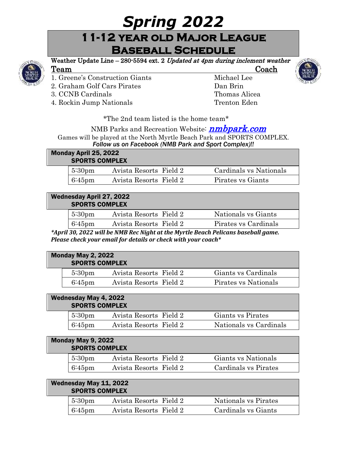# *Spring 2022*

# **11-12 year old Major League Baseball Schedule**



# Weather Update Line – 280-5594 ext. 2 Updated at 4pm during inclement weather Team Coach

- 1. Greene's Construction Giants Michael Lee
- 2. Graham Golf Cars Pirates Dan Brin
- 3. CCNB Cardinals Thomas Alicea
- 4. Rockin Jump Nationals Trenton Eden



### NMB Parks and Recreation Website: *nmbpark.com*

Games will be played at the North Myrtle Beach Park and SPORTS COMPLEX. *Follow us on Facebook (NMB Park and Sport Complex)!!*

| Monday April 25, 2022<br><b>SPORTS COMPLEX</b> |                    |                        |  |                        |
|------------------------------------------------|--------------------|------------------------|--|------------------------|
|                                                | 5:30 <sub>pm</sub> | Avista Resorts Field 2 |  | Cardinals vs Nationals |
|                                                | $6:45$ pm          | Avista Resorts Field 2 |  | Pirates vs Giants      |

#### Wednesday April 27, 2022 SPORTS COMPLEX

| $5:30 \text{pm}$ | Avista Resorts Field 2 | Nationals vs Giants  |  |
|------------------|------------------------|----------------------|--|
| $6:45$ pm        | Avista Resorts Field 2 | Pirates vs Cardinals |  |

*\*April 30, 2022 will be NMB Rec Night at the Myrtle Beach Pelicans baseball game. Please check your email for details or check with your coach\**

| Monday May 2, 2022<br><b>SPORTS COMPLEX</b> |                    |                        |                      |
|---------------------------------------------|--------------------|------------------------|----------------------|
|                                             | 5:30 <sub>pm</sub> | Avista Resorts Field 2 | Giants vs Cardinals  |
|                                             | $6:45$ pm          | Avista Resorts Field 2 | Pirates vs Nationals |

#### Wednesday May 4, 2022 SPORTS COMPLEX

| $5:30 \text{pm}$ | Avista Resorts Field 2 | Giants vs Pirates      |
|------------------|------------------------|------------------------|
| $6:45$ pm        | Avista Resorts Field 2 | Nationals vs Cardinals |

| Monday May 9, 2022<br><b>SPORTS COMPLEX</b> |                    |                        |                      |
|---------------------------------------------|--------------------|------------------------|----------------------|
|                                             | 5:30 <sub>pm</sub> | Avista Resorts Field 2 | Giants vs Nationals  |
|                                             | $6:45$ pm          | Avista Resorts Field 2 | Cardinals vs Pirates |

| Wednesday May 11, 2022<br><b>SPORTS COMPLEX</b> |                  |                        |                      |
|-------------------------------------------------|------------------|------------------------|----------------------|
|                                                 | $5:30 \text{pm}$ | Avista Resorts Field 2 | Nationals vs Pirates |
|                                                 | $6:45$ pm        | Avista Resorts Field 2 | Cardinals vs Giants  |